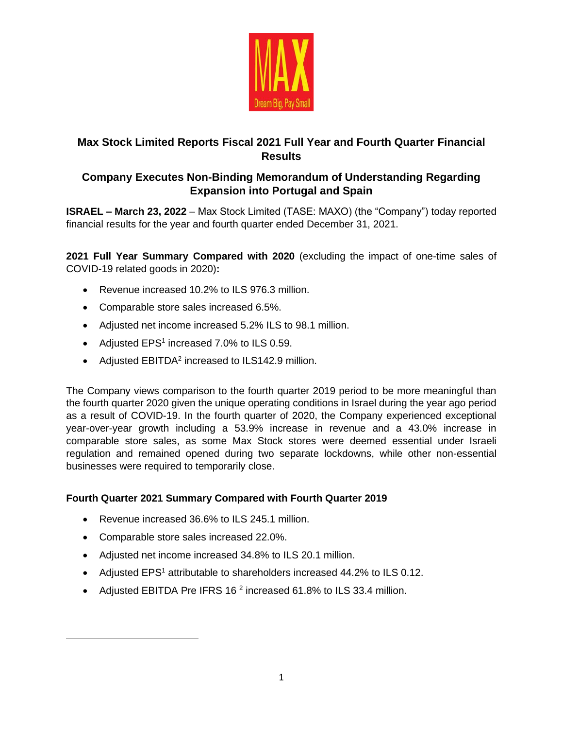

# **Max Stock Limited Reports Fiscal 2021 Full Year and Fourth Quarter Financial Results**

# **Company Executes Non-Binding Memorandum of Understanding Regarding Expansion into Portugal and Spain**

**ISRAEL – March 23, 2022** – Max Stock Limited (TASE: MAXO) (the "Company") today reported financial results for the year and fourth quarter ended December 31, 2021.

**2021 Full Year Summary Compared with 2020** (excluding the impact of one-time sales of COVID-19 related goods in 2020)**:**

- Revenue increased 10.2% to ILS 976.3 million.
- Comparable store sales increased 6.5%.
- Adjusted net income increased 5.2% ILS to 98.1 million.
- Adjusted  $EPS<sup>1</sup>$  increased 7.0% to ILS 0.59.
- Adjusted  $EBITDA<sup>2</sup>$  increased to ILS142.9 million.

The Company views comparison to the fourth quarter 2019 period to be more meaningful than the fourth quarter 2020 given the unique operating conditions in Israel during the year ago period as a result of COVID-19. In the fourth quarter of 2020, the Company experienced exceptional year-over-year growth including a 53.9% increase in revenue and a 43.0% increase in comparable store sales, as some Max Stock stores were deemed essential under Israeli regulation and remained opened during two separate lockdowns, while other non-essential businesses were required to temporarily close.

## **Fourth Quarter 2021 Summary Compared with Fourth Quarter 2019**

- Revenue increased 36.6% to ILS 245.1 million.
- Comparable store sales increased 22.0%.
- Adjusted net income increased 34.8% to ILS 20.1 million.
- Adjusted EPS<sup>1</sup> attributable to shareholders increased 44.2% to ILS 0.12.
- Adjusted EBITDA Pre IFRS 16<sup>2</sup> increased 61.8% to ILS 33.4 million.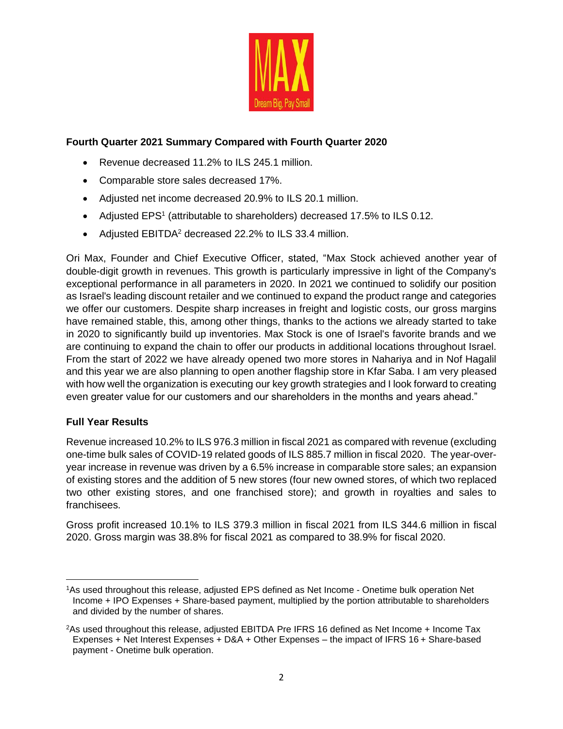

## **Fourth Quarter 2021 Summary Compared with Fourth Quarter 2020**

- Revenue decreased 11.2% to ILS 245.1 million.
- Comparable store sales decreased 17%.
- Adjusted net income decreased 20.9% to ILS 20.1 million.
- Adjusted EPS<sup>1</sup> (attributable to shareholders) decreased 17.5% to ILS 0.12.
- Adjusted EBITDA<sup>2</sup> decreased 22.2% to ILS 33.4 million.

Ori Max, Founder and Chief Executive Officer, stated, "Max Stock achieved another year of double-digit growth in revenues. This growth is particularly impressive in light of the Company's exceptional performance in all parameters in 2020. In 2021 we continued to solidify our position as Israel's leading discount retailer and we continued to expand the product range and categories we offer our customers. Despite sharp increases in freight and logistic costs, our gross margins have remained stable, this, among other things, thanks to the actions we already started to take in 2020 to significantly build up inventories. Max Stock is one of Israel's favorite brands and we are continuing to expand the chain to offer our products in additional locations throughout Israel. From the start of 2022 we have already opened two more stores in Nahariya and in Nof Hagalil and this year we are also planning to open another flagship store in Kfar Saba. I am very pleased with how well the organization is executing our key growth strategies and I look forward to creating even greater value for our customers and our shareholders in the months and years ahead."

## **Full Year Results**

Revenue increased 10.2% to ILS 976.3 million in fiscal 2021 as compared with revenue (excluding one-time bulk sales of COVID-19 related goods of ILS 885.7 million in fiscal 2020. The year-overyear increase in revenue was driven by a 6.5% increase in comparable store sales; an expansion of existing stores and the addition of 5 new stores (four new owned stores, of which two replaced two other existing stores, and one franchised store); and growth in royalties and sales to franchisees.

Gross profit increased 10.1% to ILS 379.3 million in fiscal 2021 from ILS 344.6 million in fiscal 2020. Gross margin was 38.8% for fiscal 2021 as compared to 38.9% for fiscal 2020.

<sup>1</sup>As used throughout this release, adjusted EPS defined as Net Income - Onetime bulk operation Net Income + IPO Expenses + Share-based payment, multiplied by the portion attributable to shareholders and divided by the number of shares.

<sup>2</sup>As used throughout this release, adjusted EBITDA Pre IFRS 16 defined as Net Income + Income Tax Expenses + Net Interest Expenses + D&A + Other Expenses – the impact of IFRS 16 + Share-based payment - Onetime bulk operation.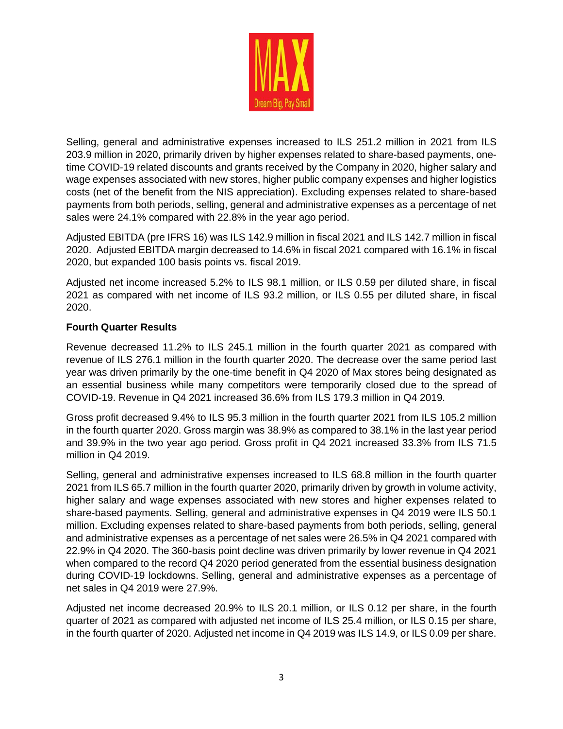

Selling, general and administrative expenses increased to ILS 251.2 million in 2021 from ILS 203.9 million in 2020, primarily driven by higher expenses related to share-based payments, onetime COVID-19 related discounts and grants received by the Company in 2020, higher salary and wage expenses associated with new stores, higher public company expenses and higher logistics costs (net of the benefit from the NIS appreciation). Excluding expenses related to share-based payments from both periods, selling, general and administrative expenses as a percentage of net sales were 24.1% compared with 22.8% in the year ago period.

Adjusted EBITDA (pre IFRS 16) was ILS 142.9 million in fiscal 2021 and ILS 142.7 million in fiscal 2020. Adjusted EBITDA margin decreased to 14.6% in fiscal 2021 compared with 16.1% in fiscal 2020, but expanded 100 basis points vs. fiscal 2019.

Adjusted net income increased 5.2% to ILS 98.1 million, or ILS 0.59 per diluted share, in fiscal 2021 as compared with net income of ILS 93.2 million, or ILS 0.55 per diluted share, in fiscal 2020.

## **Fourth Quarter Results**

Revenue decreased 11.2% to ILS 245.1 million in the fourth quarter 2021 as compared with revenue of ILS 276.1 million in the fourth quarter 2020. The decrease over the same period last year was driven primarily by the one-time benefit in Q4 2020 of Max stores being designated as an essential business while many competitors were temporarily closed due to the spread of COVID-19. Revenue in Q4 2021 increased 36.6% from ILS 179.3 million in Q4 2019.

Gross profit decreased 9.4% to ILS 95.3 million in the fourth quarter 2021 from ILS 105.2 million in the fourth quarter 2020. Gross margin was 38.9% as compared to 38.1% in the last year period and 39.9% in the two year ago period. Gross profit in Q4 2021 increased 33.3% from ILS 71.5 million in Q4 2019.

Selling, general and administrative expenses increased to ILS 68.8 million in the fourth quarter 2021 from ILS 65.7 million in the fourth quarter 2020, primarily driven by growth in volume activity, higher salary and wage expenses associated with new stores and higher expenses related to share-based payments. Selling, general and administrative expenses in Q4 2019 were ILS 50.1 million. Excluding expenses related to share-based payments from both periods, selling, general and administrative expenses as a percentage of net sales were 26.5% in Q4 2021 compared with 22.9% in Q4 2020. The 360-basis point decline was driven primarily by lower revenue in Q4 2021 when compared to the record Q4 2020 period generated from the essential business designation during COVID-19 lockdowns. Selling, general and administrative expenses as a percentage of net sales in Q4 2019 were 27.9%.

Adjusted net income decreased 20.9% to ILS 20.1 million, or ILS 0.12 per share, in the fourth quarter of 2021 as compared with adjusted net income of ILS 25.4 million, or ILS 0.15 per share, in the fourth quarter of 2020. Adjusted net income in Q4 2019 was ILS 14.9, or ILS 0.09 per share.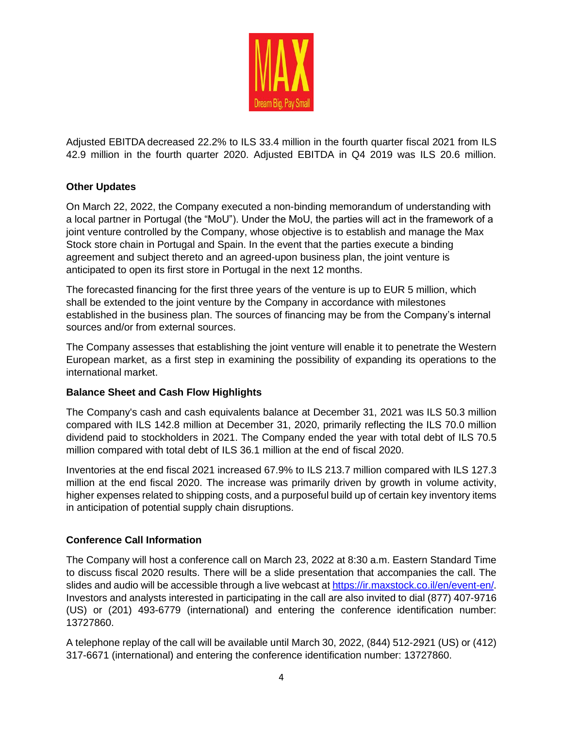

Adjusted EBITDA decreased 22.2% to ILS 33.4 million in the fourth quarter fiscal 2021 from ILS 42.9 million in the fourth quarter 2020. Adjusted EBITDA in Q4 2019 was ILS 20.6 million.

## **Other Updates**

On March 22, 2022, the Company executed a non-binding memorandum of understanding with a local partner in Portugal (the "MoU"). Under the MoU, the parties will act in the framework of a joint venture controlled by the Company, whose objective is to establish and manage the Max Stock store chain in Portugal and Spain. In the event that the parties execute a binding agreement and subject thereto and an agreed-upon business plan, the joint venture is anticipated to open its first store in Portugal in the next 12 months.

The forecasted financing for the first three years of the venture is up to EUR 5 million, which shall be extended to the joint venture by the Company in accordance with milestones established in the business plan. The sources of financing may be from the Company's internal sources and/or from external sources.

The Company assesses that establishing the joint venture will enable it to penetrate the Western European market, as a first step in examining the possibility of expanding its operations to the international market.

## **Balance Sheet and Cash Flow Highlights**

The Company's cash and cash equivalents balance at December 31, 2021 was ILS 50.3 million compared with ILS 142.8 million at December 31, 2020, primarily reflecting the ILS 70.0 million dividend paid to stockholders in 2021. The Company ended the year with total debt of ILS 70.5 million compared with total debt of ILS 36.1 million at the end of fiscal 2020.

Inventories at the end fiscal 2021 increased 67.9% to ILS 213.7 million compared with ILS 127.3 million at the end fiscal 2020. The increase was primarily driven by growth in volume activity, higher expenses related to shipping costs, and a purposeful build up of certain key inventory items in anticipation of potential supply chain disruptions.

## **Conference Call Information**

The Company will host a conference call on March 23, 2022 at 8:30 a.m. Eastern Standard Time to discuss fiscal 2020 results. There will be a slide presentation that accompanies the call. The slides and audio will be accessible through a live webcast at [https://ir.maxstock.co.il/en/event-en/.](https://ir.maxstock.co.il/en/event-en/) Investors and analysts interested in participating in the call are also invited to dial (877) 407-9716 (US) or (201) 493-6779 (international) and entering the conference identification number: 13727860.

A telephone replay of the call will be available until March 30, 2022, (844) 512-2921 (US) or (412) 317-6671 (international) and entering the conference identification number: 13727860.